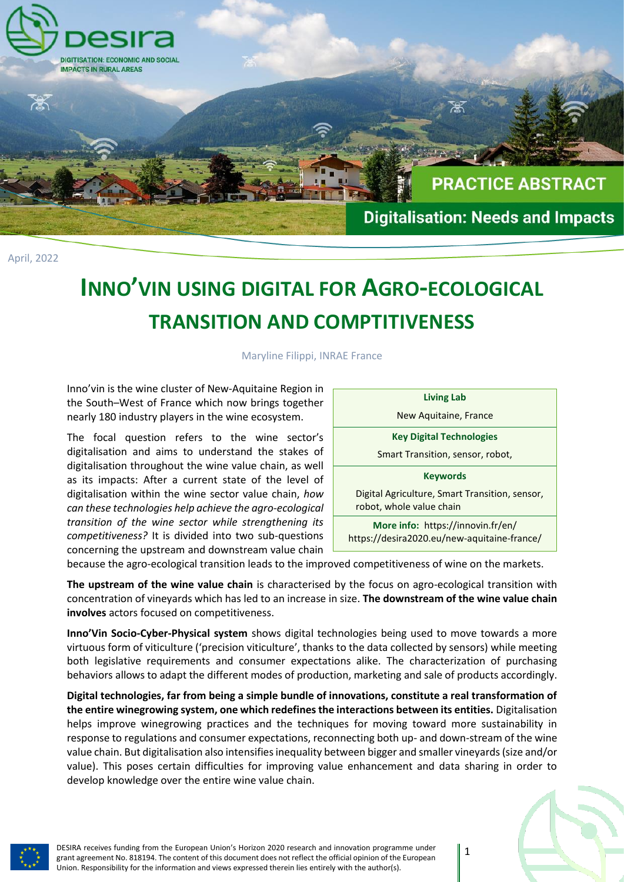

April, 2022

# **INNO'VIN USING DIGITAL FOR AGRO-ECOLOGICAL TRANSITION AND COMPTITIVENESS**

Maryline Filippi, INRAE France

Inno'vin is the wine cluster of New-Aquitaine Region in the South–West of France which now brings together nearly 180 industry players in the wine ecosystem.

The focal question refers to the wine sector's digitalisation and aims to understand the stakes of digitalisation throughout the wine value chain, as well as its impacts: After a current state of the level of digitalisation within the wine sector value chain, *how can these technologies help achieve the agro-ecological transition of the wine sector while strengthening its competitiveness?* It is divided into two sub-questions concerning the upstream and downstream value chain

**Living Lab** New Aquitaine, France **Key Digital Technologies** Smart Transition, sensor, robot, **Keywords** Digital Agriculture, Smart Transition, sensor, robot, whole value chain **More info:** https://innovin.fr/en/ https://desira2020.eu/new-aquitaine-france/

because the agro-ecological transition leads to the improved competitiveness of wine on the markets.

**The upstream of the wine value chain** is characterised by the focus on agro-ecological transition with concentration of vineyards which has led to an increase in size. **The downstream of the wine value chain involves** actors focused on competitiveness.

**Inno'Vin Socio-Cyber-Physical system** shows digital technologies being used to move towards a more virtuous form of viticulture ('precision viticulture', thanks to the data collected by sensors) while meeting both legislative requirements and consumer expectations alike. The characterization of purchasing behaviors allows to adapt the different modes of production, marketing and sale of products accordingly.

**Digital technologies, far from being a simple bundle of innovations, constitute a real transformation of the entire winegrowing system, one which redefines the interactions between its entities.** Digitalisation helps improve winegrowing practices and the techniques for moving toward more sustainability in response to regulations and consumer expectations, reconnecting both up- and down-stream of the wine value chain. But digitalisation also intensifies inequality between bigger and smaller vineyards (size and/or value). This poses certain difficulties for improving value enhancement and data sharing in order to develop knowledge over the entire wine value chain.



DESIRA receives funding from the European Union's Horizon 2020 research and innovation programme under grant agreement No. 818194. The content of this document does not reflect the official opinion of the European Union. Responsibility for the information and views expressed therein lies entirely with the author(s).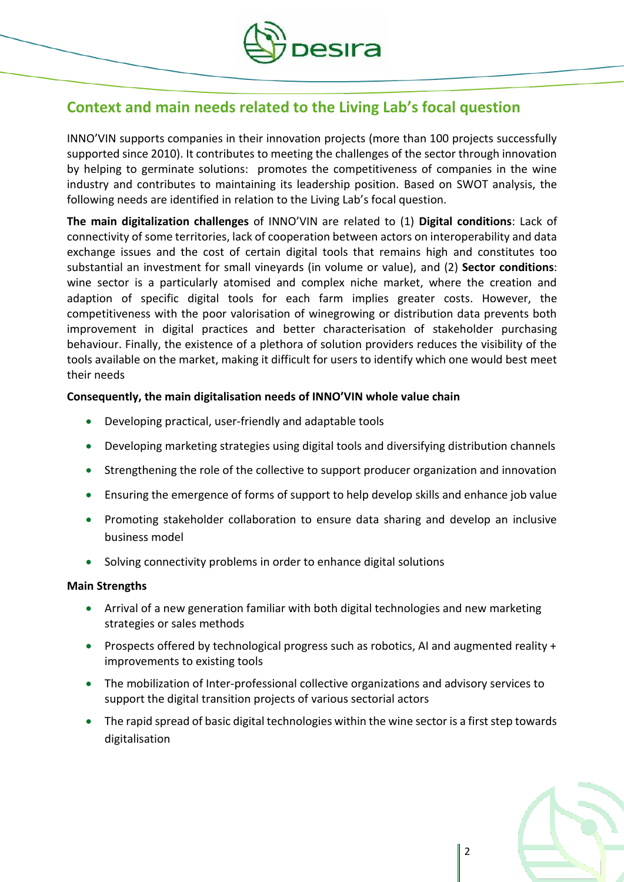

# **Context and main needs related to the Living Lab's focal question**

INNO'VIN supports companies in their innovation projects (more than 100 projects successfully supported since 2010). It contributes to meeting the challenges of the sector through innovation by helping to germinate solutions: promotes the competitiveness of companies in the wine industry and contributes to maintaining its leadership position. Based on SWOT analysis, the following needs are identified in relation to the Living Lab's focal question.

**The main digitalization challenges** of INNO'VIN are related to (1) **Digital conditions**: Lack of connectivity of some territories, lack of cooperation between actors on interoperability and data exchange issues and the cost of certain digital tools that remains high and constitutes too substantial an investment for small vineyards (in volume or value), and (2) **Sector conditions**: wine sector is a particularly atomised and complex niche market, where the creation and adaption of specific digital tools for each farm implies greater costs. However, the competitiveness with the poor valorisation of winegrowing or distribution data prevents both improvement in digital practices and better characterisation of stakeholder purchasing behaviour. Finally, the existence of a plethora of solution providers reduces the visibility of the tools available on the market, making it difficult for users to identify which one would best meet their needs

## **Consequently, the main digitalisation needs of INNO'VIN whole value chain**

- Developing practical, user-friendly and adaptable tools
- Developing marketing strategies using digital tools and diversifying distribution channels
- Strengthening the role of the collective to support producer organization and innovation
- Ensuring the emergence of forms of support to help develop skills and enhance job value
- Promoting stakeholder collaboration to ensure data sharing and develop an inclusive business model
- Solving connectivity problems in order to enhance digital solutions

## **Main Strengths**

- Arrival of a new generation familiar with both digital technologies and new marketing strategies or sales methods
- Prospects offered by technological progress such as robotics, AI and augmented reality + improvements to existing tools
- The mobilization of Inter-professional collective organizations and advisory services to support the digital transition projects of various sectorial actors
- The rapid spread of basic digital technologies within the wine sector is a first step towards digitalisation

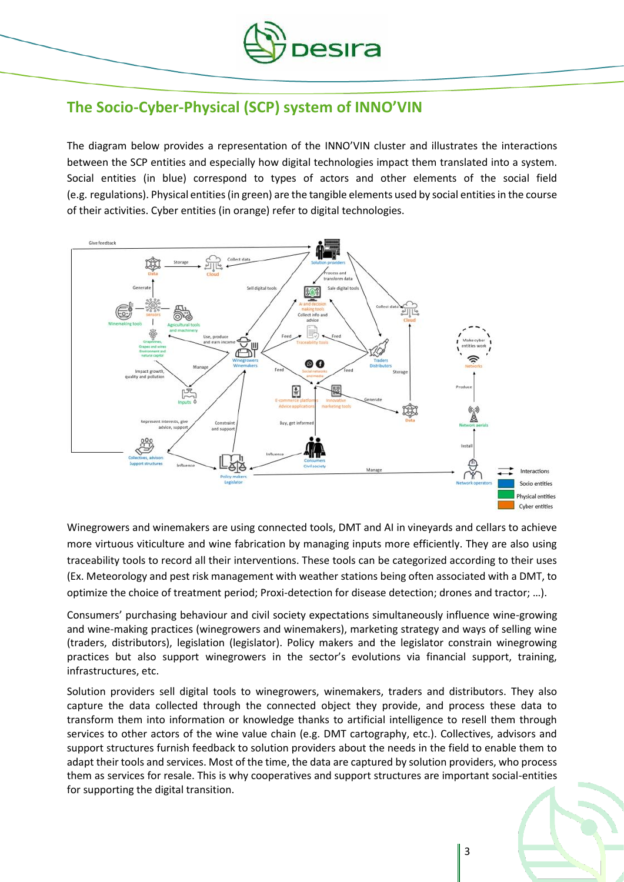

# **The Socio-Cyber-Physical (SCP) system of INNO'VIN**

The diagram below provides a representation of the INNO'VIN cluster and illustrates the interactions between the SCP entities and especially how digital technologies impact them translated into a system. Social entities (in blue) correspond to types of actors and other elements of the social field (e.g. regulations). Physical entities (in green) are the tangible elements used by social entities in the course of their activities. Cyber entities (in orange) refer to digital technologies.



Winegrowers and winemakers are using connected tools, DMT and AI in vineyards and cellars to achieve more virtuous viticulture and wine fabrication by managing inputs more efficiently. They are also using traceability tools to record all their interventions. These tools can be categorized according to their uses (Ex. Meteorology and pest risk management with weather stations being often associated with a DMT, to optimize the choice of treatment period; Proxi-detection for disease detection; drones and tractor; …).

Consumers' purchasing behaviour and civil society expectations simultaneously influence wine-growing and wine-making practices (winegrowers and winemakers), marketing strategy and ways of selling wine (traders, distributors), legislation (legislator). Policy makers and the legislator constrain winegrowing practices but also support winegrowers in the sector's evolutions via financial support, training, infrastructures, etc.

Solution providers sell digital tools to winegrowers, winemakers, traders and distributors. They also capture the data collected through the connected object they provide, and process these data to transform them into information or knowledge thanks to artificial intelligence to resell them through services to other actors of the wine value chain (e.g. DMT cartography, etc.). Collectives, advisors and support structures furnish feedback to solution providers about the needs in the field to enable them to adapt their tools and services. Most of the time, the data are captured by solution providers, who process them as services for resale. This is why cooperatives and support structures are important social-entities for supporting the digital transition.

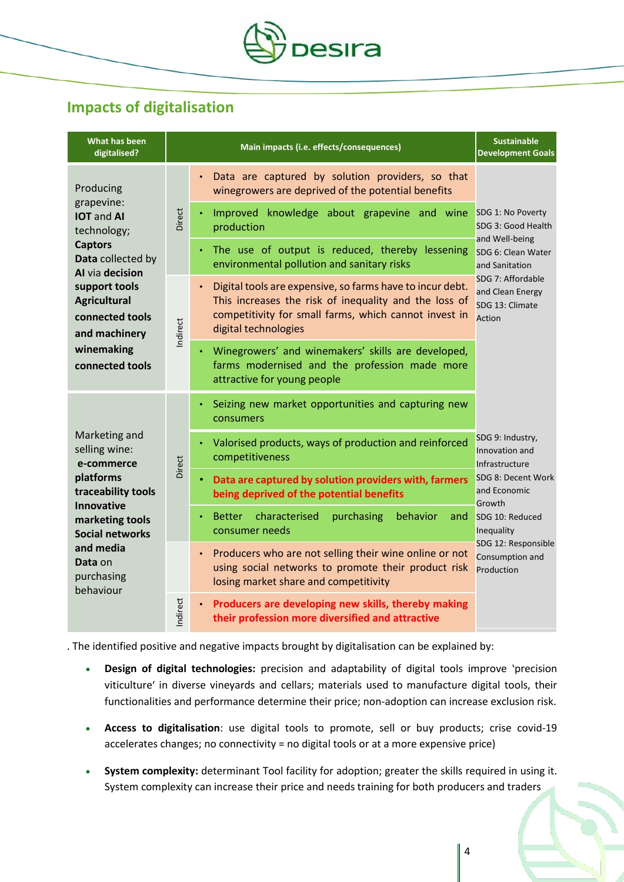

## **Impacts of digitalisation**

| What has been<br>digitalised?                                                                                                                                                                                                      | Main impacts (i.e. effects/consequences) |                                                                                                                                                                                                     | <b>Sustainable</b><br><b>Development Goals</b>                                                                                                                                                |
|------------------------------------------------------------------------------------------------------------------------------------------------------------------------------------------------------------------------------------|------------------------------------------|-----------------------------------------------------------------------------------------------------------------------------------------------------------------------------------------------------|-----------------------------------------------------------------------------------------------------------------------------------------------------------------------------------------------|
| Producing<br>grapevine:<br><b>IOT</b> and AI<br>technology;<br><b>Captors</b><br>Data collected by<br>Al via decision<br>support tools<br><b>Agricultural</b><br>connected tools<br>and machinery<br>winemaking<br>connected tools | Direct                                   | Data are captured by solution providers, so that<br>winegrowers are deprived of the potential benefits                                                                                              | SDG 1: No Poverty<br>SDG 3: Good Health<br>and Well-being<br>SDG 6: Clean Water<br>and Sanitation<br>SDG 7: Affordable<br>and Clean Energy<br>SDG 13: Climate<br>Action                       |
|                                                                                                                                                                                                                                    |                                          | Improved knowledge about grapevine and wine<br>production                                                                                                                                           |                                                                                                                                                                                               |
|                                                                                                                                                                                                                                    |                                          | The use of output is reduced, thereby lessening<br>environmental pollution and sanitary risks                                                                                                       |                                                                                                                                                                                               |
|                                                                                                                                                                                                                                    | Indirect                                 | Digital tools are expensive, so farms have to incur debt.<br>This increases the risk of inequality and the loss of<br>competitivity for small farms, which cannot invest in<br>digital technologies |                                                                                                                                                                                               |
|                                                                                                                                                                                                                                    |                                          | Winegrowers' and winemakers' skills are developed,<br>farms modernised and the profession made more<br>attractive for young people                                                                  |                                                                                                                                                                                               |
| Marketing and<br>selling wine:<br>e-commerce<br>platforms<br>traceability tools<br><b>Innovative</b><br>marketing tools<br><b>Social networks</b><br>and media<br>Data on<br>purchasing<br>behaviour                               | Direct                                   | Seizing new market opportunities and capturing new<br>consumers                                                                                                                                     | SDG 9: Industry,<br>Innovation and<br>Infrastructure<br>SDG 8: Decent Work<br>and Economic<br>Growth<br>SDG 10: Reduced<br>Inequality<br>SDG 12: Responsible<br>Consumption and<br>Production |
|                                                                                                                                                                                                                                    |                                          | Valorised products, ways of production and reinforced<br>competitiveness                                                                                                                            |                                                                                                                                                                                               |
|                                                                                                                                                                                                                                    |                                          | Data are captured by solution providers with, farmers<br>being deprived of the potential benefits                                                                                                   |                                                                                                                                                                                               |
|                                                                                                                                                                                                                                    |                                          | characterised<br>purchasing<br>behavior<br><b>Better</b><br>and<br>consumer needs                                                                                                                   |                                                                                                                                                                                               |
|                                                                                                                                                                                                                                    |                                          | Producers who are not selling their wine online or not<br>using social networks to promote their product risk<br>losing market share and competitivity                                              |                                                                                                                                                                                               |
|                                                                                                                                                                                                                                    | Indirect                                 | Producers are developing new skills, thereby making<br>their profession more diversified and attractive                                                                                             |                                                                                                                                                                                               |

. The identified positive and negative impacts brought by digitalisation can be explained by:

- **Design of digital technologies:** precision and adaptability of digital tools improve 'precision viticulture' in diverse vineyards and cellars; materials used to manufacture digital tools, their functionalities and performance determine their price; non-adoption can increase exclusion risk.
- **Access to digitalisation**: use digital tools to promote, sell or buy products; crise covid-19 accelerates changes; no connectivity = no digital tools or at a more expensive price)
- **System complexity:** determinant Tool facility for adoption; greater the skills required in using it. System complexity can increase their price and needs training for both producers and traders